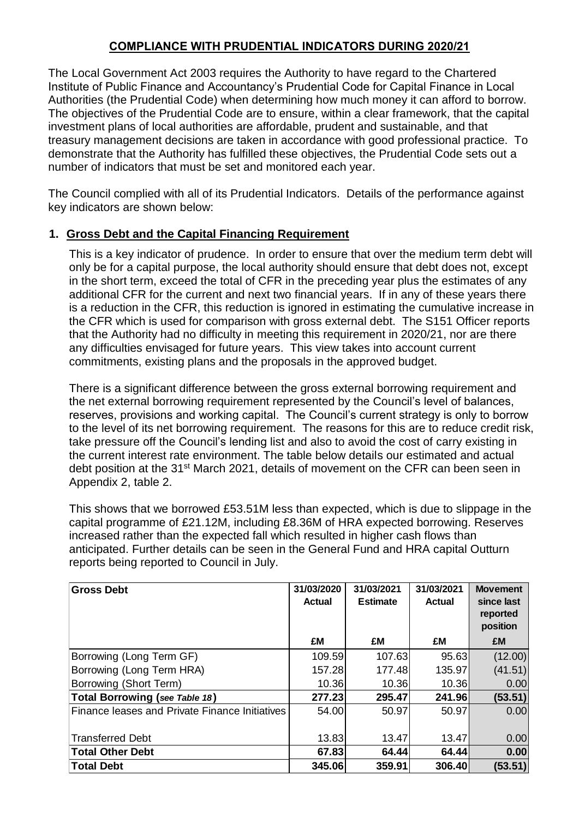# **COMPLIANCE WITH PRUDENTIAL INDICATORS DURING 2020/21**

The Local Government Act 2003 requires the Authority to have regard to the Chartered Institute of Public Finance and Accountancy's Prudential Code for Capital Finance in Local Authorities (the Prudential Code) when determining how much money it can afford to borrow. The objectives of the Prudential Code are to ensure, within a clear framework, that the capital investment plans of local authorities are affordable, prudent and sustainable, and that treasury management decisions are taken in accordance with good professional practice. To demonstrate that the Authority has fulfilled these objectives, the Prudential Code sets out a number of indicators that must be set and monitored each year.

The Council complied with all of its Prudential Indicators. Details of the performance against key indicators are shown below:

### **1. Gross Debt and the Capital Financing Requirement**

This is a key indicator of prudence. In order to ensure that over the medium term debt will only be for a capital purpose, the local authority should ensure that debt does not, except in the short term, exceed the total of CFR in the preceding year plus the estimates of any additional CFR for the current and next two financial years. If in any of these years there is a reduction in the CFR, this reduction is ignored in estimating the cumulative increase in the CFR which is used for comparison with gross external debt. The S151 Officer reports that the Authority had no difficulty in meeting this requirement in 2020/21, nor are there any difficulties envisaged for future years. This view takes into account current commitments, existing plans and the proposals in the approved budget.

There is a significant difference between the gross external borrowing requirement and the net external borrowing requirement represented by the Council's level of balances, reserves, provisions and working capital. The Council's current strategy is only to borrow to the level of its net borrowing requirement. The reasons for this are to reduce credit risk, take pressure off the Council's lending list and also to avoid the cost of carry existing in the current interest rate environment. The table below details our estimated and actual debt position at the 31<sup>st</sup> March 2021, details of movement on the CFR can been seen in Appendix 2, table 2.

This shows that we borrowed £53.51M less than expected, which is due to slippage in the capital programme of £21.12M, including £8.36M of HRA expected borrowing. Reserves increased rather than the expected fall which resulted in higher cash flows than anticipated. Further details can be seen in the General Fund and HRA capital Outturn reports being reported to Council in July.

| <b>Gross Debt</b>                              | 31/03/2020<br><b>Actual</b> | 31/03/2021<br><b>Estimate</b> | 31/03/2021<br>Actual | <b>Movement</b><br>since last<br>reported<br>position |
|------------------------------------------------|-----------------------------|-------------------------------|----------------------|-------------------------------------------------------|
|                                                | £M                          | £M                            | £M                   | £M                                                    |
| Borrowing (Long Term GF)                       | 109.59                      | 107.63                        | 95.63                | (12.00)                                               |
| Borrowing (Long Term HRA)                      | 157.28                      | 177.48                        | 135.97               | (41.51)                                               |
| Borrowing (Short Term)                         | 10.36                       | 10.36                         | 10.36                | 0.00                                                  |
| Total Borrowing (see Table 18)                 | 277.23                      | 295.47                        | 241.96               | (53.51)                                               |
| Finance leases and Private Finance Initiatives | 54.00                       | 50.97                         | 50.97                | 0.00                                                  |
| <b>Transferred Debt</b>                        | 13.83                       | 13.47                         | 13.47                | 0.00                                                  |
| <b>Total Other Debt</b>                        | 67.83                       | 64.44                         | 64.44                | 0.00                                                  |
| <b>Total Debt</b>                              | 345.06                      | 359.91                        | 306.40               | (53.51)                                               |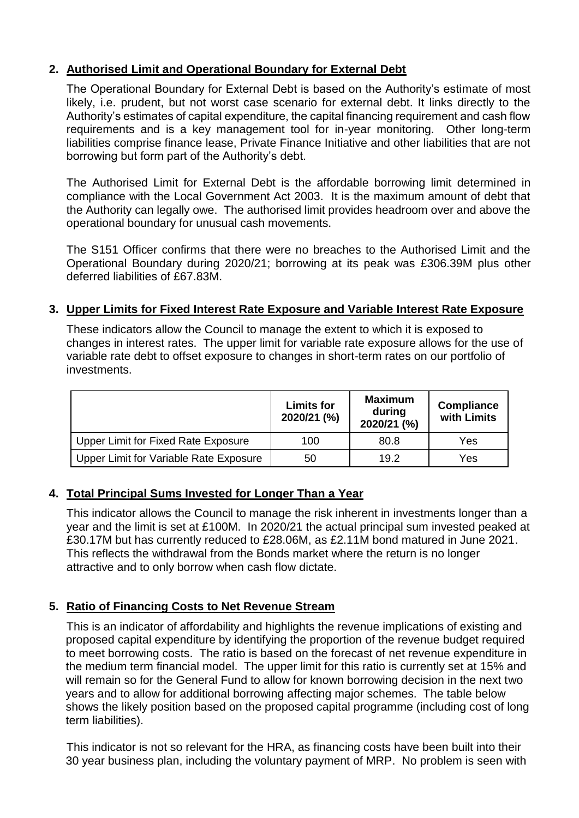# **2. Authorised Limit and Operational Boundary for External Debt**

The Operational Boundary for External Debt is based on the Authority's estimate of most likely, i.e. prudent, but not worst case scenario for external debt. It links directly to the Authority's estimates of capital expenditure, the capital financing requirement and cash flow requirements and is a key management tool for in-year monitoring. Other long-term liabilities comprise finance lease, Private Finance Initiative and other liabilities that are not borrowing but form part of the Authority's debt.

The Authorised Limit for External Debt is the affordable borrowing limit determined in compliance with the Local Government Act 2003. It is the maximum amount of debt that the Authority can legally owe. The authorised limit provides headroom over and above the operational boundary for unusual cash movements.

The S151 Officer confirms that there were no breaches to the Authorised Limit and the Operational Boundary during 2020/21; borrowing at its peak was £306.39M plus other deferred liabilities of £67.83M.

### **3. Upper Limits for Fixed Interest Rate Exposure and Variable Interest Rate Exposure**

These indicators allow the Council to manage the extent to which it is exposed to changes in interest rates. The upper limit for variable rate exposure allows for the use of variable rate debt to offset exposure to changes in short-term rates on our portfolio of investments.

|                                        | <b>Limits for</b><br>2020/21 (%) | <b>Maximum</b><br>during<br>2020/21 (%) | <b>Compliance</b><br>with Limits |
|----------------------------------------|----------------------------------|-----------------------------------------|----------------------------------|
| Upper Limit for Fixed Rate Exposure    | 100                              | 80.8                                    | Yes                              |
| Upper Limit for Variable Rate Exposure | 50                               | 19.2                                    | Yes                              |

### **4. Total Principal Sums Invested for Longer Than a Year**

This indicator allows the Council to manage the risk inherent in investments longer than a year and the limit is set at £100M. In 2020/21 the actual principal sum invested peaked at £30.17M but has currently reduced to £28.06M, as £2.11M bond matured in June 2021. This reflects the withdrawal from the Bonds market where the return is no longer attractive and to only borrow when cash flow dictate.

### **5. Ratio of Financing Costs to Net Revenue Stream**

This is an indicator of affordability and highlights the revenue implications of existing and proposed capital expenditure by identifying the proportion of the revenue budget required to meet borrowing costs. The ratio is based on the forecast of net revenue expenditure in the medium term financial model. The upper limit for this ratio is currently set at 15% and will remain so for the General Fund to allow for known borrowing decision in the next two years and to allow for additional borrowing affecting major schemes. The table below shows the likely position based on the proposed capital programme (including cost of long term liabilities).

This indicator is not so relevant for the HRA, as financing costs have been built into their 30 year business plan, including the voluntary payment of MRP. No problem is seen with